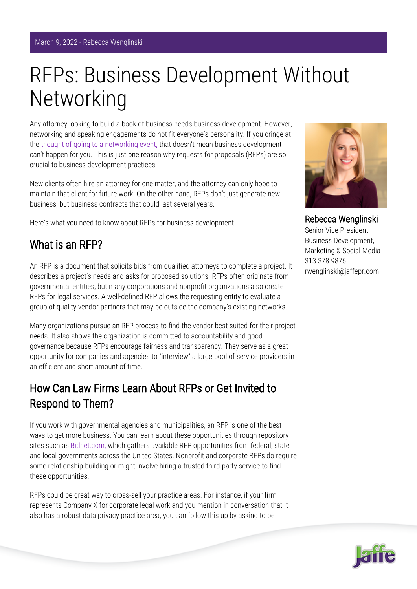# RFPs: Business Development Without Networking

Any attorney looking to build a book of business needs business development. However, networking and speaking engagements do not fit everyone's personality. If you cringe at the [thought of going to a networking event,](https://www.jaffepr.com/blog/relationships-creating-commerce-how-get-most-out-professional-networking-and-referral-groups) that doesn't mean business development can't happen for you. This is just one reason why requests for proposals (RFPs) are so crucial to business development practices.

New clients often hire an attorney for one matter, and the attorney can only hope to maintain that client for future work. On the other hand, RFPs don't just generate new business, but business contracts that could last several years.

Here's what you need to know about RFPs for business development.

#### What is an RFP?

An RFP is a document that solicits bids from qualified attorneys to complete a project. It describes a project's needs and asks for proposed solutions. RFPs often originate from governmental entities, but many corporations and nonprofit organizations also create RFPs for legal services. A well-defined RFP allows the requesting entity to evaluate a group of quality vendor-partners that may be outside the company's existing networks.

Many organizations pursue an RFP process to find the vendor best suited for their project needs. It also shows the organization is committed to accountability and good governance because RFPs encourage fairness and transparency. They serve as a great opportunity for companies and agencies to "interview" a large pool of service providers in an efficient and short amount of time.

### How Can Law Firms Learn About RFPs or Get Invited to Respond to Them?

If you work with governmental agencies and municipalities, an RFP is one of the best ways to get more business. You can learn about these opportunities through repository sites such as [Bidnet.com,](https://www.bidnet.com/) which gathers available RFP opportunities from federal, state and local governments across the United States. Nonprofit and corporate RFPs do require some relationship-building or might involve hiring a trusted third-party service to find these opportunities.

RFPs could be great way to cross-sell your practice areas. For instance, if your firm represents Company X for corporate legal work and you mention in conversation that it also has a robust data privacy practice area, you can follow this up by asking to be



Rebecca Wenglinski Senior Vice President Business Development, Marketing & Social Media 313.378.9876 rwenglinski@jaffepr.com

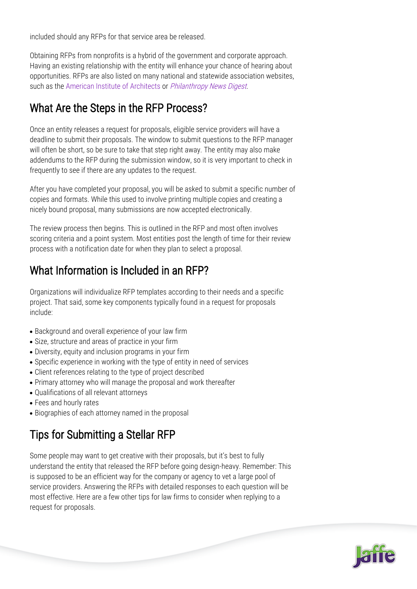included should any RFPs for that service area be released.

Obtaining RFPs from nonprofits is a hybrid of the government and corporate approach. Having an existing relationship with the entity will enhance your chance of hearing about opportunities. RFPs are also listed on many national and statewide association websites, such as the [American Institute of Architects](https://www.aia.org/) or *[Philanthropy News Digest](https://philanthropynewsdigest.org/rfps)*.

### What Are the Steps in the RFP Process?

Once an entity releases a request for proposals, eligible service providers will have a deadline to submit their proposals. The window to submit questions to the RFP manager will often be short, so be sure to take that step right away. The entity may also make addendums to the RFP during the submission window, so it is very important to check in frequently to see if there are any updates to the request.

After you have completed your proposal, you will be asked to submit a specific number of copies and formats. While this used to involve printing multiple copies and creating a nicely bound proposal, many submissions are now accepted electronically.

The review process then begins. This is outlined in the RFP and most often involves scoring criteria and a point system. Most entities post the length of time for their review process with a notification date for when they plan to select a proposal.

## What Information is Included in an RFP?

Organizations will individualize RFP templates according to their needs and a specific project. That said, some key components typically found in a request for proposals include:

- Background and overall experience of your law firm
- Size, structure and areas of practice in your firm
- Diversity, equity and inclusion programs in your firm
- Specific experience in working with the type of entity in need of services
- Client references relating to the type of project described
- Primary attorney who will manage the proposal and work thereafter
- Qualifications of all relevant attorneys
- Fees and hourly rates
- Biographies of each attorney named in the proposal

## Tips for Submitting a Stellar RFP

Some people may want to get creative with their proposals, but it's best to fully understand the entity that released the RFP before going design-heavy. Remember: This is supposed to be an efficient way for the company or agency to vet a large pool of service providers. Answering the RFPs with detailed responses to each question will be most effective. Here are a few other tips for law firms to consider when replying to a request for proposals.